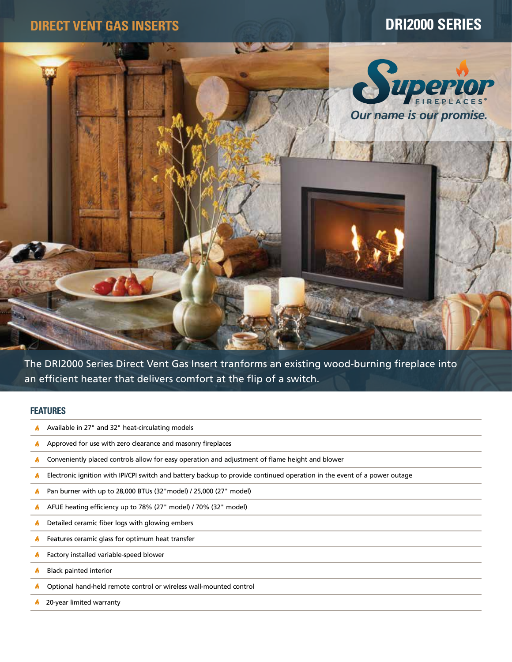

The DRI2000 Series Direct Vent Gas Insert tranforms an existing wood-burning fireplace into an efficient heater that delivers comfort at the flip of a switch.

# **FEATURES**

- A Available in 27" and 32" heat-circulating models
- $\blacklozenge$ Approved for use with zero clearance and masonry fireplaces
- ø Conveniently placed controls allow for easy operation and adjustment of flame height and blower
- Electronic ignition with IPI/CPI switch and battery backup to provide continued operation in the event of a power outage ø
- Pan burner with up to 28,000 BTUs (32"model) / 25,000 (27" model) A
- A. AFUE heating efficiency up to 78% (27" model) / 70% (32" model)
- Detailed ceramic fiber logs with glowing embers  $\blacklozenge$
- W Features ceramic glass for optimum heat transfer
- ø Factory installed variable-speed blower
- Black painted interior A
- A Optional hand-held remote control or wireless wall-mounted control
- 20-year limited warranty  $\blacklozenge$